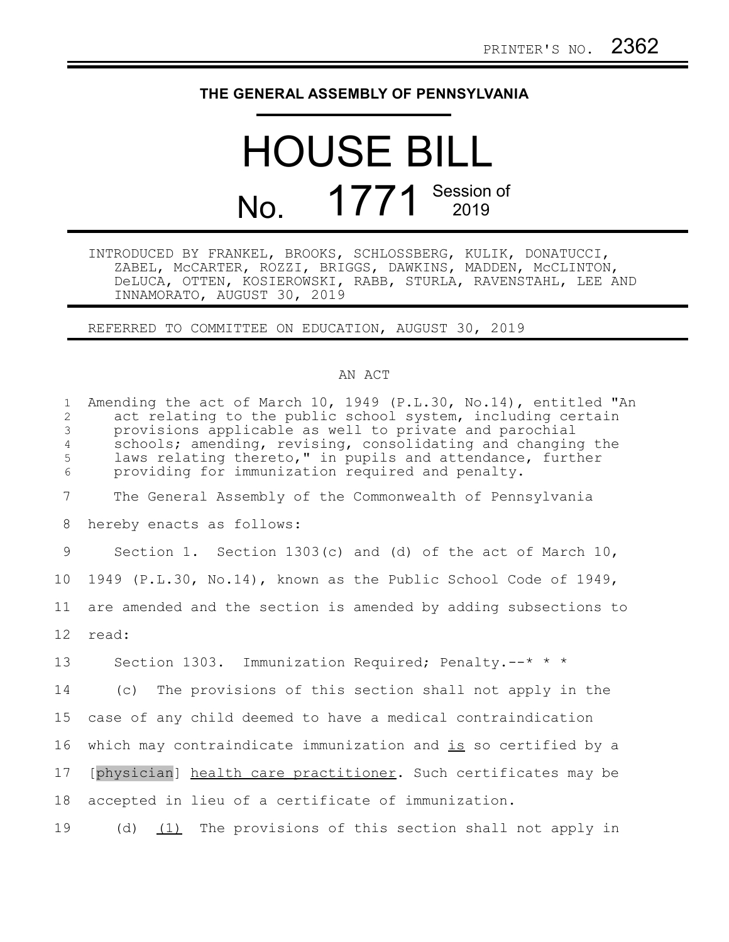## **THE GENERAL ASSEMBLY OF PENNSYLVANIA**

## HOUSE BILL No. 1771 Session of

INTRODUCED BY FRANKEL, BROOKS, SCHLOSSBERG, KULIK, DONATUCCI, ZABEL, McCARTER, ROZZI, BRIGGS, DAWKINS, MADDEN, McCLINTON, DeLUCA, OTTEN, KOSIEROWSKI, RABB, STURLA, RAVENSTAHL, LEE AND INNAMORATO, AUGUST 30, 2019

REFERRED TO COMMITTEE ON EDUCATION, AUGUST 30, 2019

## AN ACT

| $\mathbf{1}$<br>2<br>$\mathfrak{Z}$<br>$\sqrt{4}$<br>5<br>6 | Amending the act of March 10, 1949 (P.L.30, No.14), entitled "An<br>act relating to the public school system, including certain<br>provisions applicable as well to private and parochial<br>schools; amending, revising, consolidating and changing the<br>laws relating thereto," in pupils and attendance, further<br>providing for immunization required and penalty. |
|-------------------------------------------------------------|---------------------------------------------------------------------------------------------------------------------------------------------------------------------------------------------------------------------------------------------------------------------------------------------------------------------------------------------------------------------------|
| $\overline{7}$                                              | The General Assembly of the Commonwealth of Pennsylvania                                                                                                                                                                                                                                                                                                                  |
| 8                                                           | hereby enacts as follows:                                                                                                                                                                                                                                                                                                                                                 |
| 9                                                           | Section 1. Section 1303(c) and (d) of the act of March 10,                                                                                                                                                                                                                                                                                                                |
| 10 <sub>o</sub>                                             | 1949 (P.L.30, No.14), known as the Public School Code of 1949,                                                                                                                                                                                                                                                                                                            |
| 11                                                          | are amended and the section is amended by adding subsections to                                                                                                                                                                                                                                                                                                           |
| 12                                                          | read:                                                                                                                                                                                                                                                                                                                                                                     |
| 13                                                          | Section 1303. Immunization Required; Penalty.--* * *                                                                                                                                                                                                                                                                                                                      |
| 14                                                          | (c) The provisions of this section shall not apply in the                                                                                                                                                                                                                                                                                                                 |
| 15                                                          | case of any child deemed to have a medical contraindication                                                                                                                                                                                                                                                                                                               |
| 16                                                          | which may contraindicate immunization and is so certified by a                                                                                                                                                                                                                                                                                                            |
| 17                                                          | [physician] health care practitioner. Such certificates may be                                                                                                                                                                                                                                                                                                            |
| 18                                                          | accepted in lieu of a certificate of immunization.                                                                                                                                                                                                                                                                                                                        |
| 19                                                          | (d) $(1)$ The provisions of this section shall not apply in                                                                                                                                                                                                                                                                                                               |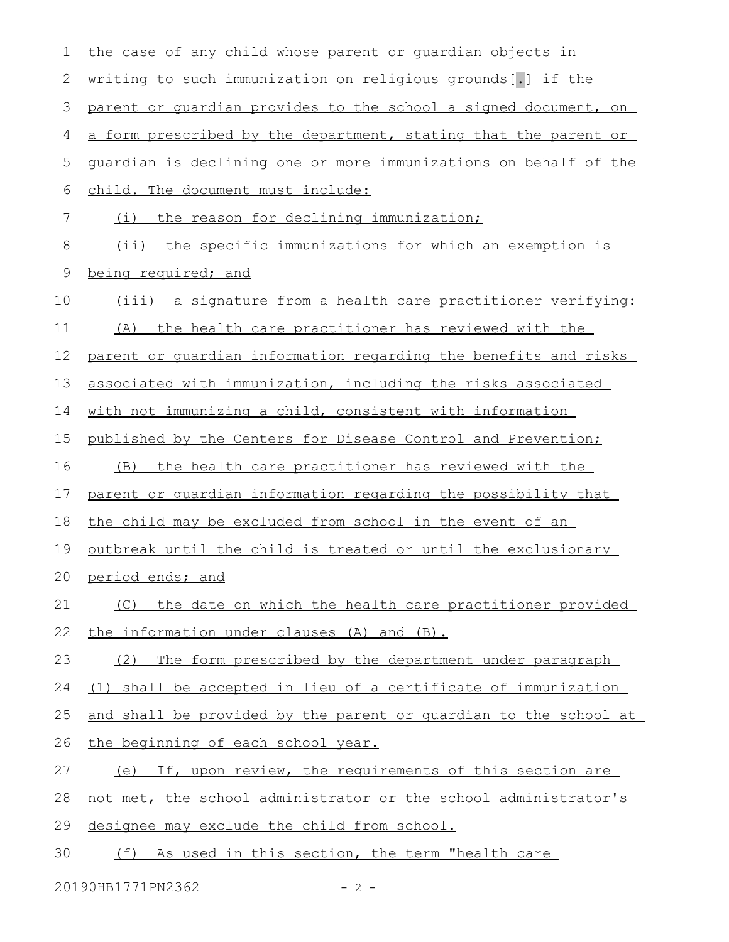| $\mathbf 1$ | the case of any child whose parent or quardian objects in        |
|-------------|------------------------------------------------------------------|
| 2           | writing to such immunization on religious grounds[.] if the      |
| 3           | parent or quardian provides to the school a signed document, on  |
| 4           | a form prescribed by the department, stating that the parent or  |
| 5           | guardian is declining one or more immunizations on behalf of the |
| 6           | child. The document must include:                                |
| 7           | (i) the reason for declining immunization;                       |
| 8           | (ii) the specific immunizations for which an exemption is        |
| $\mathsf 9$ | being required; and                                              |
| 10          | (iii) a signature from a health care practitioner verifying:     |
| 11          | (A) the health care practitioner has reviewed with the           |
| 12          | parent or quardian information regarding the benefits and risks  |
| 13          | associated with immunization, including the risks associated     |
| 14          | with not immunizing a child, consistent with information         |
| 15          | published by the Centers for Disease Control and Prevention;     |
| 16          | (B) the health care practitioner has reviewed with the           |
| 17          | parent or quardian information regarding the possibility that    |
| 18          | the child may be excluded from school in the event of an         |
| 19          | outbreak until the child is treated or until the exclusionary    |
| 20          | period ends; and                                                 |
| 21          | the date on which the health care practitioner provided<br>(C)   |
| 22          | the information under clauses (A) and (B).                       |
| 23          | The form prescribed by the department under paragraph<br>(2)     |
| 24          | (1) shall be accepted in lieu of a certificate of immunization   |
| 25          | and shall be provided by the parent or quardian to the school at |
| 26          | the beginning of each school year.                               |
| 27          | (e) If, upon review, the requirements of this section are        |
| 28          | not met, the school administrator or the school administrator's  |
| 29          | designee may exclude the child from school.                      |
| 30          | As used in this section, the term "health care<br>(f)            |

20190HB1771PN2362 - 2 -